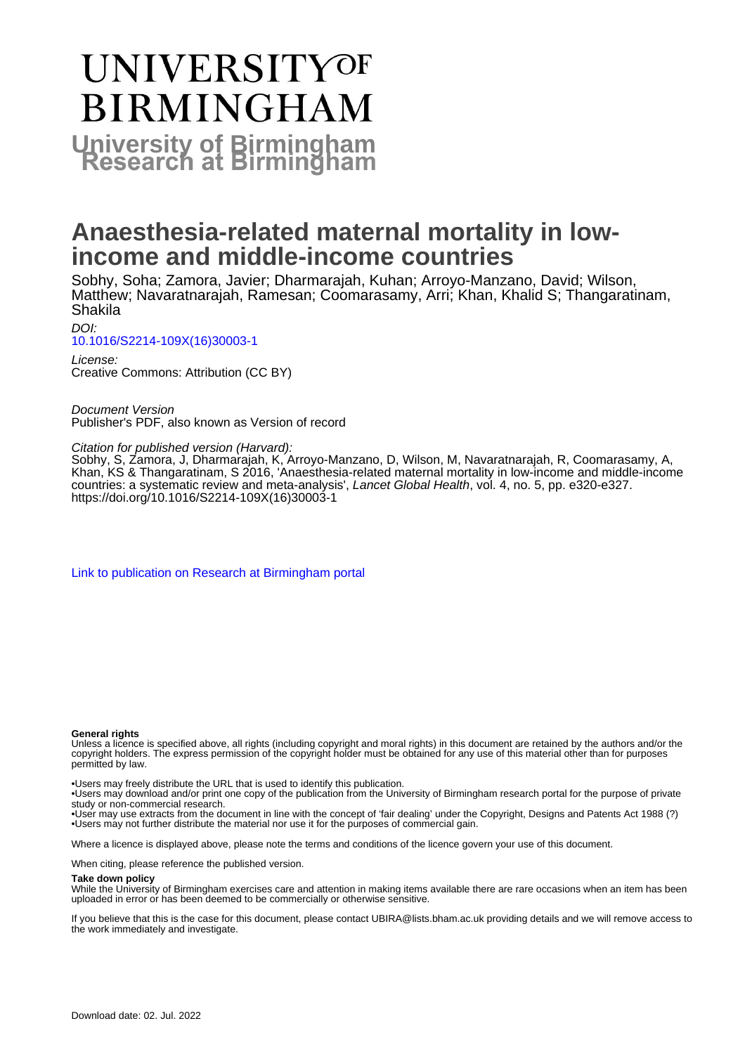# **UNIVERSITYOF BIRMINGHAM University of Birmingham**

## **Anaesthesia-related maternal mortality in lowincome and middle-income countries**

Sobhy, Soha; Zamora, Javier; Dharmarajah, Kuhan; Arroyo-Manzano, David; Wilson, Matthew; Navaratnarajah, Ramesan; Coomarasamy, Arri; Khan, Khalid S; Thangaratinam, Shakila

DOI: [10.1016/S2214-109X\(16\)30003-1](https://doi.org/10.1016/S2214-109X(16)30003-1)

License: Creative Commons: Attribution (CC BY)

Document Version Publisher's PDF, also known as Version of record

Citation for published version (Harvard):

Sobhy, S, Zamora, J, Dharmarajah, K, Arroyo-Manzano, D, Wilson, M, Navaratnarajah, R, Coomarasamy, A, Khan, KS & Thangaratinam, S 2016, 'Anaesthesia-related maternal mortality in low-income and middle-income countries: a systematic review and meta-analysis', Lancet Global Health, vol. 4, no. 5, pp. e320-e327. [https://doi.org/10.1016/S2214-109X\(16\)30003-1](https://doi.org/10.1016/S2214-109X(16)30003-1)

[Link to publication on Research at Birmingham portal](https://birmingham.elsevierpure.com/en/publications/999edc89-896f-41a3-b9ba-36a1d10347c8)

#### **General rights**

Unless a licence is specified above, all rights (including copyright and moral rights) in this document are retained by the authors and/or the copyright holders. The express permission of the copyright holder must be obtained for any use of this material other than for purposes permitted by law.

• Users may freely distribute the URL that is used to identify this publication.

• Users may download and/or print one copy of the publication from the University of Birmingham research portal for the purpose of private study or non-commercial research.

• User may use extracts from the document in line with the concept of 'fair dealing' under the Copyright, Designs and Patents Act 1988 (?) • Users may not further distribute the material nor use it for the purposes of commercial gain.

Where a licence is displayed above, please note the terms and conditions of the licence govern your use of this document.

When citing, please reference the published version.

#### **Take down policy**

While the University of Birmingham exercises care and attention in making items available there are rare occasions when an item has been uploaded in error or has been deemed to be commercially or otherwise sensitive.

If you believe that this is the case for this document, please contact UBIRA@lists.bham.ac.uk providing details and we will remove access to the work immediately and investigate.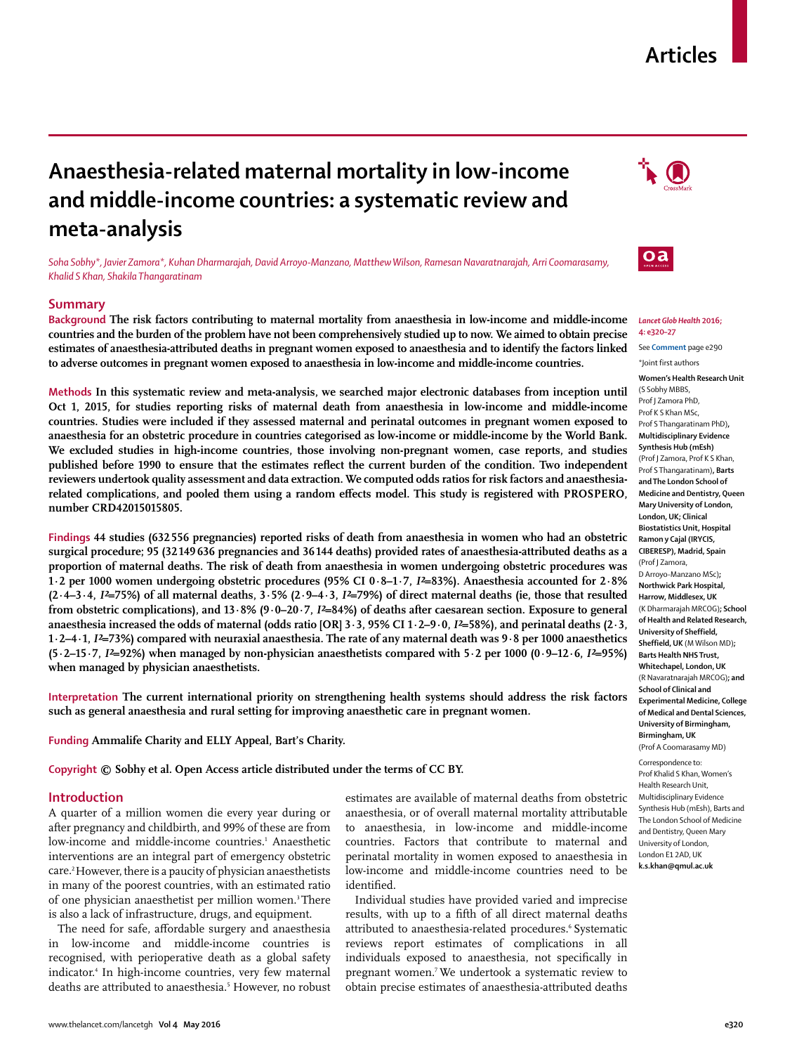### **Articles**

### **Anaesthesia-related maternal mortality in low-income and middle-income countries: a systematic review and meta-analysis**

*Soha Sobhy\*, Javier Zamora\*, Kuhan Dharmarajah, David Arroyo-Manzano, Matthew Wilson, Ramesan Navaratnarajah, Arri Coomarasamy, Khalid S Khan, Shakila Thangaratinam*

#### **Summary**

**Background The risk factors contributing to maternal mortality from anaesthesia in low-income and middle-income countries and the burden of the problem have not been comprehensively studied up to now. We aimed to obtain precise estimates of anaesthesia-attributed deaths in pregnant women exposed to anaesthesia and to identify the factors linked to adverse outcomes in pregnant women exposed to anaesthesia in low-income and middle-income countries.**

**Methods In this systematic review and meta-analysis, we searched major electronic databases from inception until Oct 1, 2015, for studies reporting risks of maternal death from anaesthesia in low-income and middle-income countries. Studies were included if they assessed maternal and perinatal outcomes in pregnant women exposed to anaesthesia for an obstetric procedure in countries categorised as low-income or middle-income by the World Bank. We excluded studies in high-income countries, those involving non-pregnant women, case reports, and studies published before 1990 to ensure that the estimates reflect the current burden of the condition. Two independent reviewers undertook quality assessment and data extraction. We computed odds ratios for risk factors and anaesthesia**related complications, and pooled them using a random effects model. This study is registered with PROSPERO, **number CRD42015015805.**

**Findings 44 studies (632 556 pregnancies) reported risks of death from anaesthesia in women who had an obstetric surgical procedure; 95 (32 149 636 pregnancies and 36 144 deaths) provided rates of anaesthesia-attributed deaths as a proportion of maternal deaths. The risk of death from anaesthesia in women undergoing obstetric procedures was 1·2 per 1000 women undergoing obstetric procedures (95% CI 0·8–1·7,** *I²***=83%). Anaesthesia accounted for 2·8% (2·4–3·4,** *I²***=75%) of all maternal deaths, 3·5% (2·9–4·3,** *I²***=79%) of direct maternal deaths (ie, those that resulted from obstetric complications), and 13·8% (9·0–20·7,** *I²***=84%) of deaths after caesarean section. Exposure to general anaesthesia increased the odds of maternal (odds ratio [OR] 3·3, 95% CI 1·2–9·0,** *I²***=58%), and perinatal deaths (2·3, 1·2–4·1,** *I²***=73%) compared with neuraxial anaesthesia. The rate of any maternal death was 9·8 per 1000 anaesthetics (5·2–15·7,** *I²***=92%) when managed by non-physician anaesthetists compared with 5·2 per 1000 (0·9–12·6,** *I²***=95%) when managed by physician anaesthetists.**

**Interpretation The current international priority on strengthening health systems should address the risk factors such as general anaesthesia and rural setting for improving anaesthetic care in pregnant women.**

#### **Funding Ammalife Charity and ELLY Appeal, Bart's Charity.**

**Copyright © Sobhy et al. Open Access article distributed under the terms of CC BY.**

#### **Introduction**

A quarter of a million women die every year during or after pregnancy and childbirth, and 99% of these are from low-income and middle-income countries.<sup>1</sup> Anaesthetic interventions are an integral part of emergency obstetric care.2 However, there is a paucity of physician anaesthetists in many of the poorest countries, with an estimated ratio of one physician anaesthetist per million women.<sup>3</sup> There is also a lack of infrastructure, drugs, and equipment.

The need for safe, affordable surgery and anaesthesia in low-income and middle-income countries is recognised, with perioperative death as a global safety indicator.4 In high-income countries, very few maternal deaths are attributed to anaesthesia.5 However, no robust estimates are available of maternal deaths from obstetric anaesthesia, or of overall maternal mortality attributable to anaesthesia, in low-income and middle-income countries. Factors that contribute to maternal and perinatal mortality in women exposed to anaesthesia in low-income and middle-income countries need to be identified.

Individual studies have provided varied and imprecise results, with up to a fifth of all direct maternal deaths attributed to anaesthesia-related procedures.<sup>6</sup> Systematic reviews report estimates of complications in all individuals exposed to anaesthesia, not specifically in pregnant women.7 We undertook a systematic review to obtain precise estimates of anaesthesia-attributed deaths





#### *Lancet Glob Health* **2016; 4: e320–27**

See **Comment** page e290 \*Joint first authors

**Women's Health Research Unit**  (S Sobhy MBBS, Prof J Zamora PhD, Prof K S Khan MSc, Prof S Thangaratinam PhD)**, Multidisciplinary Evidence Synthesis Hub (mEsh)**  (Prof J Zamora, Prof K S Khan, Prof S Thangaratinam)**, Barts and The London School of Medicine and Dentistry, Queen Mary University of London, London, UK; Clinical Biostatistics Unit, Hospital Ramon y Cajal (IRYCIS, CIBERESP), Madrid, Spain** (Prof J Zamora, D Arroyo-Manzano MSc)**; Northwick Park Hospital, Harrow, Middlesex, UK** (K Dharmarajah MRCOG)**; School of Health and Related Research, University of Sheffield, Sheffield, UK** (M Wilson MD)**; Barts Health NHS Trust, Whitechapel, London, UK** (R Navaratnarajah MRCOG)**; and School of Clinical and Experimental Medicine, College of Medical and Dental Sciences, University of Birmingham, Birmingham, UK** (Prof A Coomarasamy MD) Correspondence to: Prof Khalid S Khan, Women's

Health Research Unit, Multidisciplinary Evidence Synthesis Hub (mEsh), Barts and The London School of Medicine and Dentistry, Queen Mary University of London, London E1 2AD, UK **k.s.khan@qmul.ac.uk**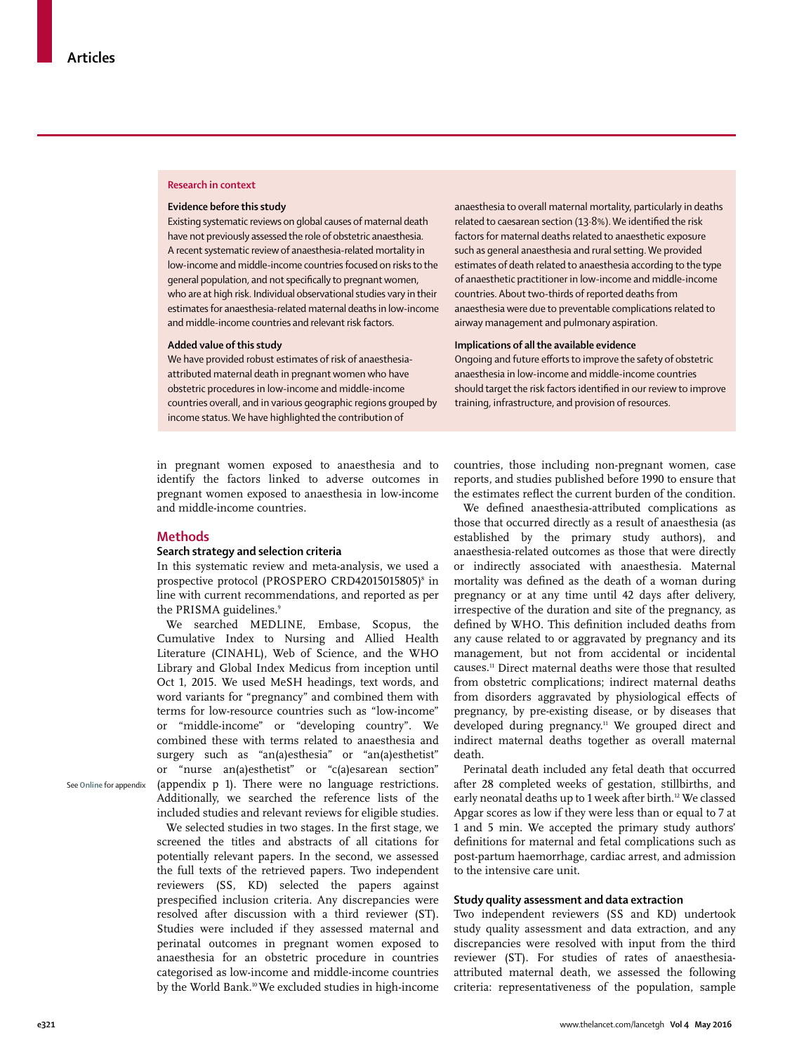#### **Research in context**

#### **Evidence before this study**

Existing systematic reviews on global causes of maternal death have not previously assessed the role of obstetric anaesthesia. A recent systematic review of anaesthesia-related mortality in low-income and middle-income countries focused on risks to the general population, and not specifically to pregnant women, who are at high risk. Individual observational studies vary in their estimates for anaesthesia-related maternal deaths in low-income and middle-income countries and relevant risk factors.

#### **Added value of this study**

We have provided robust estimates of risk of anaesthesiaattributed maternal death in pregnant women who have obstetric procedures in low-income and middle-income countries overall, and in various geographic regions grouped by income status. We have highlighted the contribution of

in pregnant women exposed to anaesthesia and to identify the factors linked to adverse outcomes in pregnant women exposed to anaesthesia in low-income and middle-income countries.

#### **Methods**

#### **Search strategy and selection criteria**

In this systematic review and meta-analysis, we used a prospective protocol (PROSPERO CRD42015015805)8 in line with current recommendations, and reported as per the PRISMA guidelines.<sup>9</sup>

We searched MEDLINE, Embase, Scopus, the Cumulative Index to Nursing and Allied Health Literature (CINAHL), Web of Science, and the WHO Library and Global Index Medicus from inception until Oct 1, 2015. We used MeSH headings, text words, and word variants for "pregnancy" and combined them with terms for low-resource countries such as "low-income" or "middle-income" or "developing country". We combined these with terms related to anaesthesia and surgery such as "an(a)esthesia" or "an(a)esthetist" or "nurse an(a)esthetist" or "c(a)esarean section" (appendix p 1). There were no language restrictions. Additionally, we searched the reference lists of the included studies and relevant reviews for eligible studies.

We selected studies in two stages. In the first stage, we screened the titles and abstracts of all citations for potentially relevant papers. In the second, we assessed the full texts of the retrieved papers. Two independent reviewers (SS, KD) selected the papers against prespecified inclusion criteria. Any discrepancies were resolved after discussion with a third reviewer (ST). Studies were included if they assessed maternal and perinatal outcomes in pregnant women exposed to anaesthesia for an obstetric procedure in countries categorised as low-income and middle-income countries by the World Bank.10 We excluded studies in high-income anaesthesia to overall maternal mortality, particularly in deaths related to caesarean section (13.8%). We identified the risk factors for maternal deaths related to anaesthetic exposure such as general anaesthesia and rural setting. We provided estimates of death related to anaesthesia according to the type of anaesthetic practitioner in low-income and middle-income countries. About two-thirds of reported deaths from anaesthesia were due to preventable complications related to airway management and pulmonary aspiration.

#### **Implications of all the available evidence**

Ongoing and future efforts to improve the safety of obstetric anaesthesia in low-income and middle-income countries should target the risk factors identified in our review to improve training, infrastructure, and provision of resources.

countries, those including non-pregnant women, case reports, and studies published before 1990 to ensure that the estimates reflect the current burden of the condition.

We defined anaesthesia-attributed complications as those that occurred directly as a result of anaesthesia (as established by the primary study authors), and anaesthesia-related outcomes as those that were directly or indirectly associated with anaesthesia. Maternal mortality was defined as the death of a woman during pregnancy or at any time until 42 days after delivery, irrespective of the duration and site of the pregnancy, as defined by WHO. This definition included deaths from any cause related to or aggravated by pregnancy and its management, but not from accidental or incidental causes.11 Direct maternal deaths were those that resulted from obstetric complications; indirect maternal deaths from disorders aggravated by physiological effects of pregnancy, by pre-existing disease, or by diseases that developed during pregnancy.<sup>11</sup> We grouped direct and indirect maternal deaths together as overall maternal death.

Perinatal death included any fetal death that occurred after 28 completed weeks of gestation, stillbirths, and early neonatal deaths up to 1 week after birth.<sup>12</sup> We classed Apgar scores as low if they were less than or equal to 7 at 1 and 5 min. We accepted the primary study authors' definitions for maternal and fetal complications such as post-partum haemorrhage, cardiac arrest, and admission to the intensive care unit.

#### **Study quality assessment and data extraction**

Two independent reviewers (SS and KD) undertook study quality assessment and data extraction, and any discrepancies were resolved with input from the third reviewer (ST). For studies of rates of anaesthesiaattributed maternal death, we assessed the following criteria: representativeness of the population, sample

See **Online** for appendix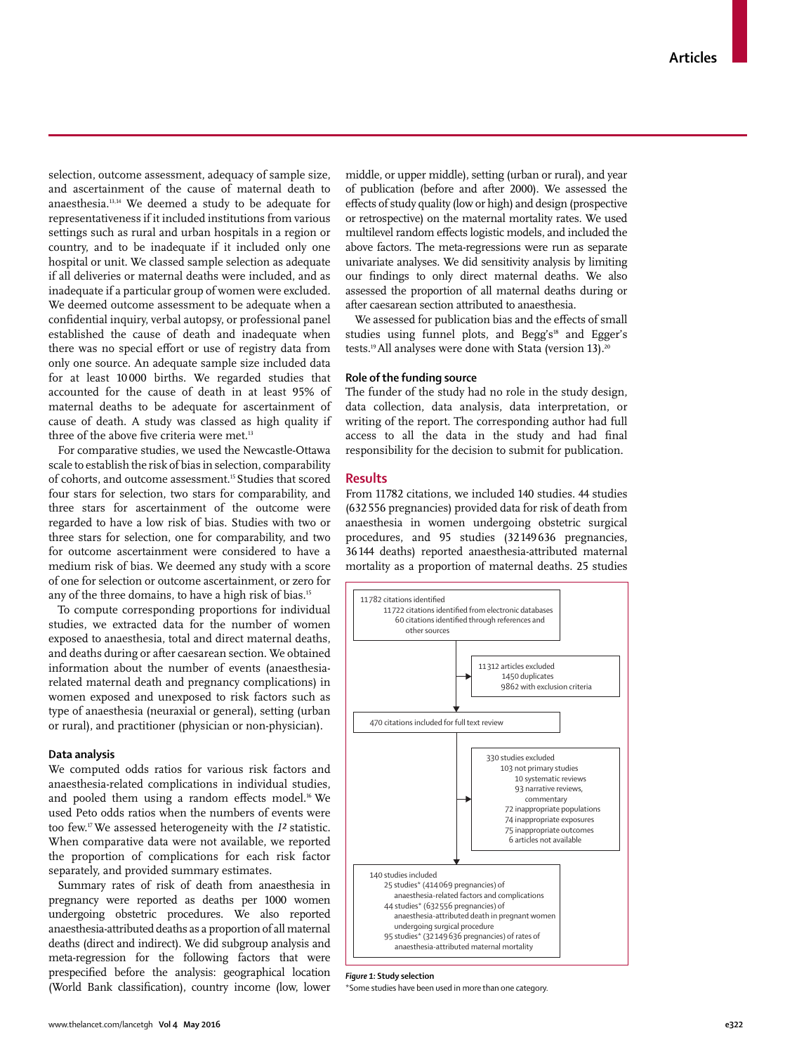selection, outcome assessment, adequacy of sample size, and ascertainment of the cause of maternal death to anaesthesia.13,14 We deemed a study to be adequate for representativeness if it included institutions from various settings such as rural and urban hospitals in a region or country, and to be inadequate if it included only one hospital or unit. We classed sample selection as adequate if all deliveries or maternal deaths were included, and as inadequate if a particular group of women were excluded. We deemed outcome assessment to be adequate when a confidential inquiry, verbal autopsy, or professional panel established the cause of death and inadequate when there was no special effort or use of registry data from only one source. An adequate sample size included data for at least 10 000 births. We regarded studies that accounted for the cause of death in at least 95% of maternal deaths to be adequate for ascertainment of cause of death. A study was classed as high quality if three of the above five criteria were met.<sup>13</sup>

For comparative studies, we used the Newcastle-Ottawa scale to establish the risk of bias in selection, comparability of cohorts, and outcome assessment.15 Studies that scored four stars for selection, two stars for comparability, and three stars for ascertainment of the outcome were regarded to have a low risk of bias. Studies with two or three stars for selection, one for comparability, and two for outcome ascertainment were considered to have a medium risk of bias. We deemed any study with a score of one for selection or outcome ascertainment, or zero for any of the three domains, to have a high risk of bias.15

To compute corresponding proportions for individual studies, we extracted data for the number of women exposed to anaesthesia, total and direct maternal deaths, and deaths during or after caesarean section. We obtained information about the number of events (anaesthesiarelated maternal death and pregnancy complications) in women exposed and unexposed to risk factors such as type of anaesthesia (neuraxial or general), setting (urban or rural), and practitioner (physician or non-physician).

#### **Data analysis**

We computed odds ratios for various risk factors and anaesthesia-related complications in individual studies, and pooled them using a random effects model.<sup>16</sup> We used Peto odds ratios when the numbers of events were too few.17 We assessed heterogeneity with the *I²* statistic. When comparative data were not available, we reported the proportion of complications for each risk factor separately, and provided summary estimates.

Summary rates of risk of death from anaesthesia in pregnancy were reported as deaths per 1000 women undergoing obstetric procedures. We also reported anaesthesia-attributed deaths as a proportion of all maternal deaths (direct and indirect). We did subgroup analysis and meta-regression for the following factors that were prespecified before the analysis: geographical location (World Bank classification), country income (low, lower middle, or upper middle), setting (urban or rural), and year of publication (before and after 2000). We assessed the effects of study quality (low or high) and design (prospective or retrospective) on the maternal mortality rates. We used multilevel random effects logistic models, and included the above factors. The meta-regressions were run as separate univariate analyses. We did sensitivity analysis by limiting our findings to only direct maternal deaths. We also assessed the proportion of all maternal deaths during or after caesarean section attributed to anaesthesia.

We assessed for publication bias and the effects of small studies using funnel plots, and Begg's<sup>18</sup> and Egger's tests.<sup>19</sup> All analyses were done with Stata (version 13).<sup>20</sup>

#### **Role of the funding source**

The funder of the study had no role in the study design, data collection, data analysis, data interpretation, or writing of the report. The corresponding author had full access to all the data in the study and had final responsibility for the decision to submit for publication.

#### **Results**

From 11 782 citations, we included 140 studies. 44 studies (632 556 pregnancies) provided data for risk of death from anaesthesia in women undergoing obstetric surgical procedures, and 95 studies (32 149 636 pregnancies, 36 144 deaths) reported anaesthesia-attributed maternal mortality as a proportion of maternal deaths. 25 studies



*Figure 1:* **Study selection**

\*Some studies have been used in more than one category.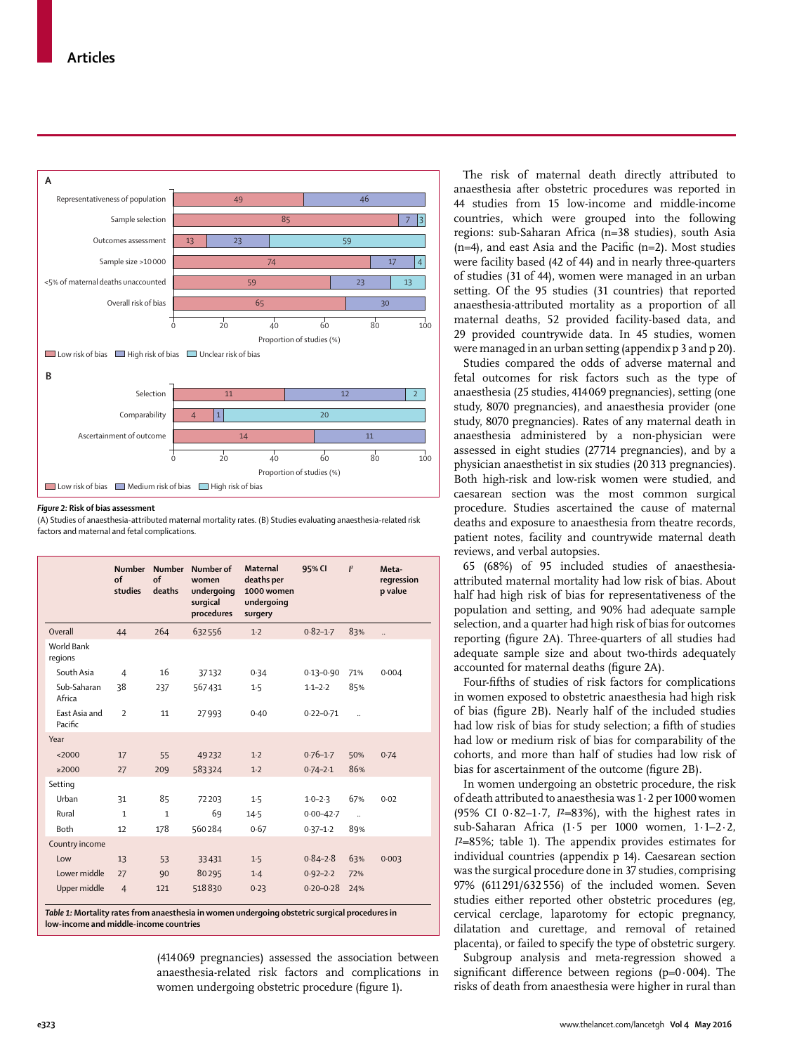

#### *Figure 2:* **Risk of bias assessment**

(A) Studies of anaesthesia-attributed maternal mortality rates. (B) Studies evaluating anaesthesia-related risk factors and maternal and fetal complications.

|                                 | <b>Number</b><br>$\alpha$ f<br>studies | Number<br>$\alpha$ f<br>deaths | Number of<br>women<br>undergoing<br>surgical<br>procedures | <b>Maternal</b><br>deaths per<br>1000 women<br>undergoing<br>surgery | 95% CI        | $\mathbf{I}^2$       | Meta-<br>regression<br>p value |
|---------------------------------|----------------------------------------|--------------------------------|------------------------------------------------------------|----------------------------------------------------------------------|---------------|----------------------|--------------------------------|
| Overall                         | 44                                     | 264                            | 632556                                                     | 1.2                                                                  | $0.82 - 1.7$  | 83%                  |                                |
| <b>World Bank</b><br>regions    |                                        |                                |                                                            |                                                                      |               |                      |                                |
| South Asia                      | $\overline{4}$                         | 16                             | 37132                                                      | 0.34                                                                 | $0.13 - 0.90$ | 71%                  | 0.004                          |
| Sub-Saharan<br>Africa           | 38                                     | 237                            | 567431                                                     | 1.5                                                                  | $1.1 - 2.2$   | 85%                  |                                |
| <b>East Asia and</b><br>Pacific | $\overline{\phantom{a}}$               | 11                             | 27993                                                      | 0.40                                                                 | $0.22 - 0.71$ | $\ddot{\phantom{a}}$ |                                |
| Year                            |                                        |                                |                                                            |                                                                      |               |                      |                                |
| <2000                           | 17                                     | 55                             | 49232                                                      | 1.2                                                                  | $0.76 - 1.7$  | 50%                  | 0.74                           |
| $\geq 2000$                     | 27                                     | 209                            | 583324                                                     | $1-2$                                                                | $0.74 - 2.1$  | 86%                  |                                |
| Setting                         |                                        |                                |                                                            |                                                                      |               |                      |                                |
| Urban                           | 31                                     | 85                             | 72203                                                      | 1.5                                                                  | $1.0 - 2.3$   | 67%                  | 0.02                           |
| Rural                           | $\mathbf{1}$                           | $\mathbf{1}$                   | 69                                                         | 14.5                                                                 | $0.00 - 42.7$ | $\ddot{\phantom{a}}$ |                                |
| <b>Both</b>                     | 12                                     | 178                            | 560284                                                     | 0.67                                                                 | $0.37 - 1.2$  | 89%                  |                                |
| Country income                  |                                        |                                |                                                            |                                                                      |               |                      |                                |
| Low                             | 13                                     | 53                             | 33431                                                      | 1.5                                                                  | $0.84 - 2.8$  | 63%                  | 0.003                          |
| Lower middle                    | 27                                     | 90                             | 80295                                                      | $1-4$                                                                | $0.92 - 2.2$  | 72%                  |                                |
| Upper middle                    | $\overline{4}$                         | 121                            | 518830                                                     | 0.23                                                                 | $0.20 - 0.28$ | 24%                  |                                |

*Table 1:* **Mortality rates from anaesthesia in women undergoing obstetric surgical procedures in low-income and middle-income countries**

> (414 069 pregnancies) assessed the association between anaesthesia-related risk factors and complications in women undergoing obstetric procedure (figure 1).

The risk of maternal death directly attributed to anaesthesia after obstetric procedures was reported in 44 studies from 15 low-income and middle-income countries, which were grouped into the following regions: sub-Saharan Africa (n=38 studies), south Asia  $(n=4)$ , and east Asia and the Pacific  $(n=2)$ . Most studies were facility based (42 of 44) and in nearly three-quarters of studies (31 of 44), women were managed in an urban setting. Of the 95 studies (31 countries) that reported anaesthesia-attributed mortality as a proportion of all maternal deaths, 52 provided facility-based data, and 29 provided countrywide data. In 45 studies, women were managed in an urban setting (appendix p 3 and p 20).

Studies compared the odds of adverse maternal and fetal outcomes for risk factors such as the type of anaesthesia (25 studies, 414 069 pregnancies), setting (one study, 8070 pregnancies), and anaesthesia provider (one study, 8070 pregnancies). Rates of any maternal death in anaesthesia administered by a non-physician were assessed in eight studies (27 714 pregnancies), and by a physician anaesthetist in six studies (20 313 pregnancies). Both high-risk and low-risk women were studied, and caesarean section was the most common surgical procedure. Studies ascertained the cause of maternal deaths and exposure to anaesthesia from theatre records, patient notes, facility and countrywide maternal death reviews, and verbal autopsies.

65 (68%) of 95 included studies of anaesthesiaattributed maternal mortality had low risk of bias. About half had high risk of bias for representativeness of the population and setting, and 90% had adequate sample selection, and a quarter had high risk of bias for outcomes reporting (figure 2A). Three-quarters of all studies had adequate sample size and about two-thirds adequately accounted for maternal deaths (figure 2A).

Four-fifths of studies of risk factors for complications in women exposed to obstetric anaesthesia had high risk of bias (figure 2B). Nearly half of the included studies had low risk of bias for study selection; a fifth of studies had low or medium risk of bias for comparability of the cohorts, and more than half of studies had low risk of bias for ascertainment of the outcome (figure 2B).

In women undergoing an obstetric procedure, the risk of death attributed to anaesthesia was 1·2 per 1000 women (95% CI 0·82–1·7, *I*²=83%), with the highest rates in sub-Saharan Africa (1·5 per 1000 women, 1·1–2·2, *I*²=85%; table 1). The appendix provides estimates for individual countries (appendix p 14). Caesarean section was the surgical procedure done in 37 studies, comprising 97% (611 291/632 556) of the included women. Seven studies either reported other obstetric procedures (eg, cervical cerclage, laparotomy for ectopic pregnancy, dilatation and curettage, and removal of retained placenta), or failed to specify the type of obstetric surgery.

Subgroup analysis and meta-regression showed a significant difference between regions ( $p=0.004$ ). The risks of death from anaesthesia were higher in rural than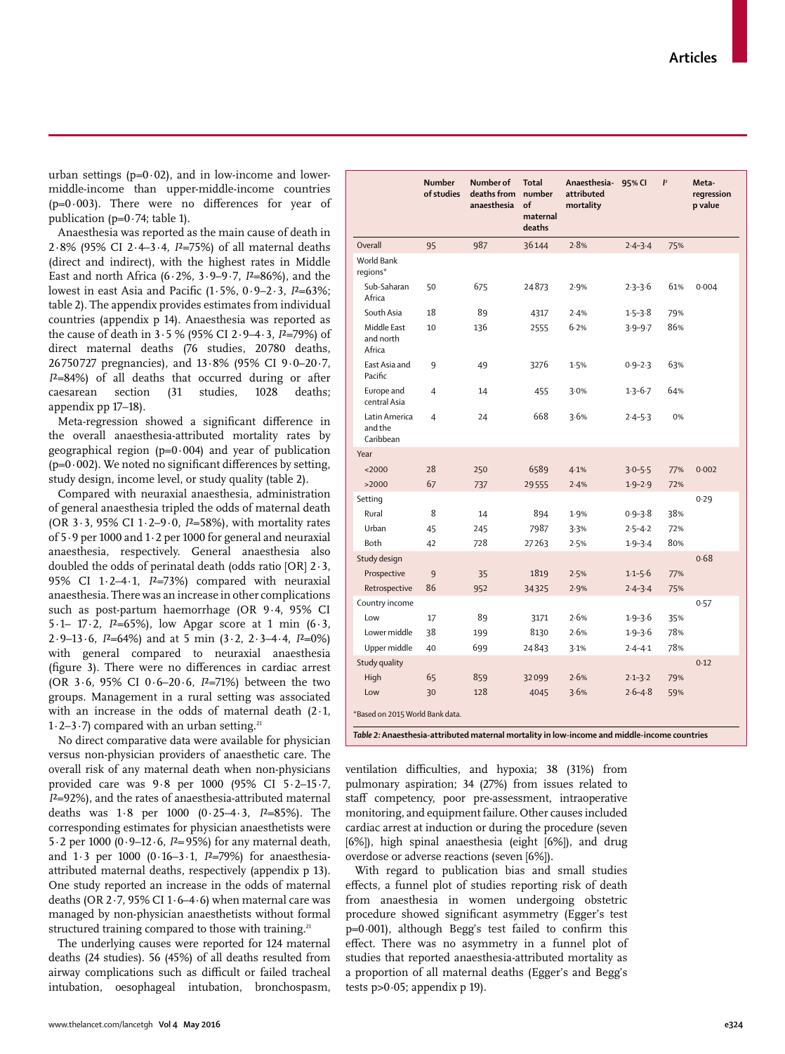www.thelancet.com/lancetgh **Vol 4 May 2016 e324**

urban settings  $(p=0.02)$ , and in low-income and lowermiddle-income than upper-middle-income countries ( $p=0.003$ ). There were no differences for year of publication ( $p=0.74$ ; table 1).

Anaesthesia was reported as the main cause of death in 2·8% (95% CI 2·4–3·4, *I*²=75%) of all maternal deaths (direct and indirect), with the highest rates in Middle East and north Africa (6·2%, 3·9–9·7, *I*²=86%), and the lowest in east Asia and Pacific (1·5%, 0·9-2·3, *I*<sup>2</sup>=63%; table 2). The appendix provides estimates from individual countries (appendix p 14). Anaesthesia was reported as the cause of death in 3·5 % (95% CI 2·9–4·3, *I*²=79%) of direct maternal deaths (76 studies, 20780 deaths, 26 750 727 pregnancies), and 13·8% (95% CI 9·0–20·7, *I*²=84%) of all deaths that occurred during or after caesarean section (31 studies, 1028 deaths; appendix pp 17–18).

Meta-regression showed a significant difference in the overall anaesthesia-attributed mortality rates by geographical region ( $p=0.004$ ) and year of publication ( $p=0.002$ ). We noted no significant differences by setting, study design, income level, or study quality (table 2).

Compared with neuraxial anaesthesia, administration of general anaesthesia tripled the odds of maternal death (OR 3·3, 95% CI 1·2–9·0, *I*²=58%), with mortality rates of 5·9 per 1000 and 1·2 per 1000 for general and neuraxial anaesthesia, respectively. General anaesthesia also doubled the odds of perinatal death (odds ratio [OR] 2·3, 95% CI 1·2–4·1, *I*²=73%) compared with neuraxial anaesthesia. There was an increase in other complications such as post-partum haemorrhage (OR 9·4, 95% CI 5 $\cdot$ 1– 17 $\cdot$ 2, *I*<sup>2</sup>=65%), low Apgar score at 1 min (6 $\cdot$ 3, 2·9–13·6, *I*²=64%) and at 5 min (3·2, 2·3–4·4, *I*²=0%) with general compared to neuraxial anaesthesia (figure 3). There were no differences in cardiac arrest (OR 3·6, 95% CI 0·6–20·6, *I*²=71%) between the two groups. Management in a rural setting was associated with an increase in the odds of maternal death (2·1, 1.2–3.7) compared with an urban setting.<sup>21</sup>

No direct comparative data were available for physician versus non-physician providers of anaesthetic care. The overall risk of any maternal death when non-physicians provided care was 9·8 per 1000 (95% CI 5·2–15·7, *I*²=92%), and the rates of anaesthesia-attributed maternal deaths was 1·8 per 1000 (0·25–4·3, *I*²=85%). The corresponding estimates for physician anaesthetists were 5·2 per 1000 (0·9–12·6, *I*²=95%) for any maternal death, and 1·3 per 1000 (0·16–3·1, *I*²=79%) for anaesthesiaattributed maternal deaths, respectively (appendix p 13). One study reported an increase in the odds of maternal deaths (OR  $2.7$ , 95% CI  $1.6-4.6$ ) when maternal care was managed by non-physician anaesthetists without formal structured training compared to those with training.<sup>21</sup>

The underlying causes were reported for 124 maternal deaths (24 studies). 56 (45%) of all deaths resulted from airway complications such as difficult or failed tracheal intubation, oesophageal intubation, bronchospasm,

|                                       | <b>Number</b><br>of studies | Number of<br>deaths from<br>anaesthesia | <b>Total</b><br>number<br>of<br>maternal<br>deaths | Anaesthesia-<br>attributed<br>mortality | 95% CI      | $\mathbf{I}^2$ | Meta-<br>regression<br>p value |  |
|---------------------------------------|-----------------------------|-----------------------------------------|----------------------------------------------------|-----------------------------------------|-------------|----------------|--------------------------------|--|
| Overall                               | 95                          | 987                                     | 36144                                              | 2.8%                                    | $2.4 - 3.4$ | 75%            |                                |  |
| World Bank<br>regions*                |                             |                                         |                                                    |                                         |             |                |                                |  |
| Sub-Saharan<br>Africa                 | 50                          | 675                                     | 24873                                              | 2.9%                                    | $2.3 - 3.6$ | 61%            | 0.004                          |  |
| South Asia                            | 18                          | 89                                      | 4317                                               | 2.4%                                    | $1.5 - 3.8$ | 79%            |                                |  |
| Middle East<br>and north<br>Africa    | 10                          | 136                                     | 2555                                               | 6.2%                                    | $3.9 - 9.7$ | 86%            |                                |  |
| East Asia and<br>Pacific              | 9                           | 49                                      | 3276                                               | 1.5%                                    | $0.9 - 2.3$ | 63%            |                                |  |
| Europe and<br>central Asia            | 4                           | 14                                      | 455                                                | 3.0%                                    | $1.3 - 6.7$ | 64%            |                                |  |
| Latin America<br>and the<br>Caribbean | $\overline{4}$              | 24                                      | 668                                                | 3.6%                                    | $2.4 - 5.3$ | 0%             |                                |  |
| Year                                  |                             |                                         |                                                    |                                         |             |                |                                |  |
| $2000$                                | 28                          | 250                                     | 6589                                               | 4.1%                                    | $3.0 - 5.5$ | 77%            | 0.002                          |  |
| >2000                                 | 67                          | 737                                     | 29555                                              | 2.4%                                    | $1.9 - 2.9$ | 72%            |                                |  |
| Setting                               |                             |                                         |                                                    |                                         |             |                | 0.29                           |  |
| Rural                                 | 8                           | 14                                      | 894                                                | 1.9%                                    | $0.9 - 3.8$ | 38%            |                                |  |
| Urban                                 | 45                          | 245                                     | 7987                                               | 3.3%                                    | $2.5 - 4.2$ | 72%            |                                |  |
| Both                                  | 42                          | 728                                     | 27263                                              | 2.5%                                    | $1.9 - 3.4$ | 80%            |                                |  |
| Study design                          |                             |                                         |                                                    |                                         |             |                | 0.68                           |  |
| Prospective                           | $\overline{9}$              | 35                                      | 1819                                               | 2.5%                                    | $1-1-5-6$   | 77%            |                                |  |
| Retrospective                         | 86                          | 952                                     | 34325                                              | 2.9%                                    | $2.4 - 3.4$ | 75%            |                                |  |
| Country income                        |                             |                                         |                                                    |                                         |             |                | 0.57                           |  |
| Low                                   | 17                          | 89                                      | 3171                                               | 2.6%                                    | $1.9 - 3.6$ | 35%            |                                |  |
| Lower middle                          | 38                          | 199                                     | 8130                                               | 2.6%                                    | $1.9 - 3.6$ | 78%            |                                |  |
| Upper middle                          | 40                          | 699                                     | 24843                                              | 3.1%                                    | $2.4 - 4.1$ | 78%            |                                |  |
| Study quality                         |                             |                                         |                                                    |                                         |             |                | 0.12                           |  |
| High                                  | 65                          | 859                                     | 32099                                              | 2.6%                                    | $2.1 - 3.2$ | 79%            |                                |  |
| Low                                   | 30                          | 128                                     | 4045                                               | 3.6%                                    | $2.6 - 4.8$ | 59%            |                                |  |
| *Based on 2015 World Bank data.       |                             |                                         |                                                    |                                         |             |                |                                |  |

*Table 2:* **Anaesthesia-attributed maternal mortality in low-income and middle-income countries** 

ventilation difficulties, and hypoxia; 38 (31%) from pulmonary aspiration; 34 (27%) from issues related to staff competency, poor pre-assessment, intraoperative monitoring, and equipment failure. Other causes included cardiac arrest at induction or during the procedure (seven [6%]), high spinal anaesthesia (eight [6%]), and drug overdose or adverse reactions (seven [6%]).

With regard to publication bias and small studies effects, a funnel plot of studies reporting risk of death from anaesthesia in women undergoing obstetric procedure showed significant asymmetry (Egger's test p=0*·*001), although Begg's test failed to confirm this effect. There was no asymmetry in a funnel plot of studies that reported anaesthesia-attributed mortality as a proportion of all maternal deaths (Egger's and Begg's tests p>0*·*05; appendix p 19).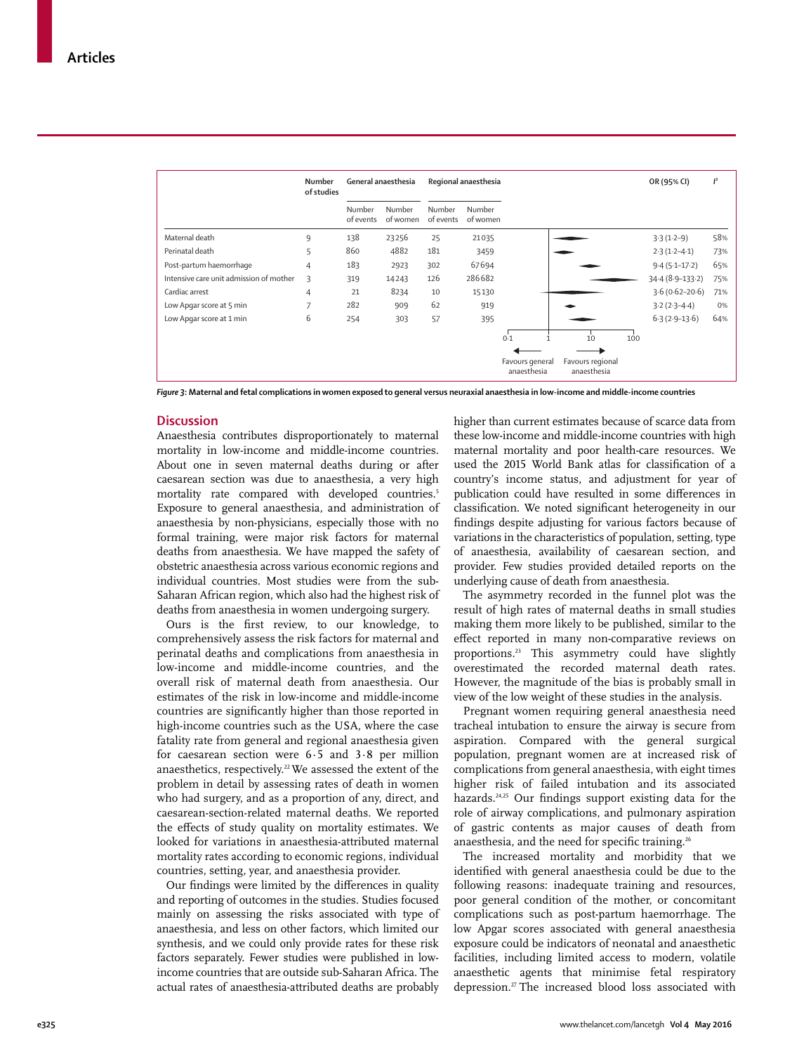|                                         | Number<br>of studies |                     | General anaesthesia | Regional anaesthesia |                    |                                |                                 |     | OR (95% CI)        | $\mathbf{I}^2$ |
|-----------------------------------------|----------------------|---------------------|---------------------|----------------------|--------------------|--------------------------------|---------------------------------|-----|--------------------|----------------|
|                                         |                      | Number<br>of events | Number<br>of women  | Number<br>of events  | Number<br>of women |                                |                                 |     |                    |                |
| Maternal death                          | 9                    | 138                 | 23256               | 25                   | 21035              |                                |                                 |     | $3.3(1.2-9)$       | 58%            |
| Perinatal death                         | 5                    | 860                 | 4882                | 181                  | 3459               |                                |                                 |     | $2.3(1.2-4.1)$     | 73%            |
| Post-partum haemorrhage                 | 4                    | 183                 | 2923                | 302                  | 67694              |                                |                                 |     | $9.4(5.1-17.2)$    | 65%            |
| Intensive care unit admission of mother | 3                    | 319                 | 14243               | 126                  | 286682             |                                |                                 |     | $34.4(8.9-133.2)$  | 75%            |
| Cardiac arrest                          | 4                    | 21                  | 8234                | 10                   | 15130              |                                |                                 |     | $3.6(0.62 - 20.6)$ | 71%            |
| Low Apgar score at 5 min                | $\overline{7}$       | 282                 | 909                 | 62                   | 919                |                                |                                 |     | $3.2(2.3 - 4.4)$   | 0%             |
| Low Apgar score at 1 min                | 6                    | 254                 | 303                 | 57                   | 395                |                                |                                 |     | $6.3(2.9-13.6)$    | 64%            |
|                                         |                      |                     |                     |                      |                    | 0.1                            | 10                              | 100 |                    |                |
|                                         |                      |                     |                     |                      |                    | Favours general<br>anaesthesia | Favours regional<br>anaesthesia |     |                    |                |

*Figure 3***: Maternal and fetal complications in women exposed to general versus neuraxial anaesthesia in low-income and middle-income countries**

#### **Discussion**

Anaesthesia contributes disproportionately to maternal mortality in low-income and middle-income countries. About one in seven maternal deaths during or after caesarean section was due to anaesthesia, a very high mortality rate compared with developed countries.<sup>5</sup> Exposure to general anaesthesia, and administration of anaesthesia by non-physicians, especially those with no formal training, were major risk factors for maternal deaths from anaesthesia. We have mapped the safety of obstetric anaesthesia across various economic regions and individual countries. Most studies were from the sub-Saharan African region, which also had the highest risk of deaths from anaesthesia in women undergoing surgery.

Ours is the first review, to our knowledge, to comprehensively assess the risk factors for maternal and perinatal deaths and complications from anaesthesia in low-income and middle-income countries, and the overall risk of maternal death from anaesthesia. Our estimates of the risk in low-income and middle-income countries are significantly higher than those reported in high-income countries such as the USA, where the case fatality rate from general and regional anaesthesia given for caesarean section were 6·5 and 3·8 per million anaesthetics, respectively.<sup>22</sup> We assessed the extent of the problem in detail by assessing rates of death in women who had surgery, and as a proportion of any, direct, and caesarean-section-related maternal deaths. We reported the effects of study quality on mortality estimates. We looked for variations in anaesthesia-attributed maternal mortality rates according to economic regions, individual countries, setting, year, and anaesthesia provider.

Our findings were limited by the differences in quality and reporting of outcomes in the studies. Studies focused mainly on assessing the risks associated with type of anaesthesia, and less on other factors, which limited our synthesis, and we could only provide rates for these risk factors separately. Fewer studies were published in lowincome countries that are outside sub-Saharan Africa. The actual rates of anaesthesia-attributed deaths are probably higher than current estimates because of scarce data from these low-income and middle-income countries with high maternal mortality and poor health-care resources. We used the 2015 World Bank atlas for classification of a country's income status, and adjustment for year of publication could have resulted in some differences in classification. We noted significant heterogeneity in our findings despite adjusting for various factors because of variations in the characteristics of population, setting, type of anaesthesia, availability of caesarean section, and provider. Few studies provided detailed reports on the underlying cause of death from anaesthesia.

The asymmetry recorded in the funnel plot was the result of high rates of maternal deaths in small studies making them more likely to be published, similar to the effect reported in many non-comparative reviews on proportions.23 This asymmetry could have slightly overestimated the recorded maternal death rates. However, the magnitude of the bias is probably small in view of the low weight of these studies in the analysis.

Pregnant women requiring general anaesthesia need tracheal intubation to ensure the airway is secure from aspiration. Compared with the general surgical population, pregnant women are at increased risk of complications from general anaesthesia, with eight times higher risk of failed intubation and its associated hazards.<sup>24,25</sup> Our findings support existing data for the role of airway complications, and pulmonary aspiration of gastric contents as major causes of death from anaesthesia, and the need for specific training.<sup>26</sup>

The increased mortality and morbidity that we identified with general anaesthesia could be due to the following reasons: inadequate training and resources, poor general condition of the mother, or concomitant complications such as post-partum haemorrhage. The low Apgar scores associated with general anaesthesia exposure could be indicators of neonatal and anaesthetic facilities, including limited access to modern, volatile anaesthetic agents that minimise fetal respiratory depression.27 The increased blood loss associated with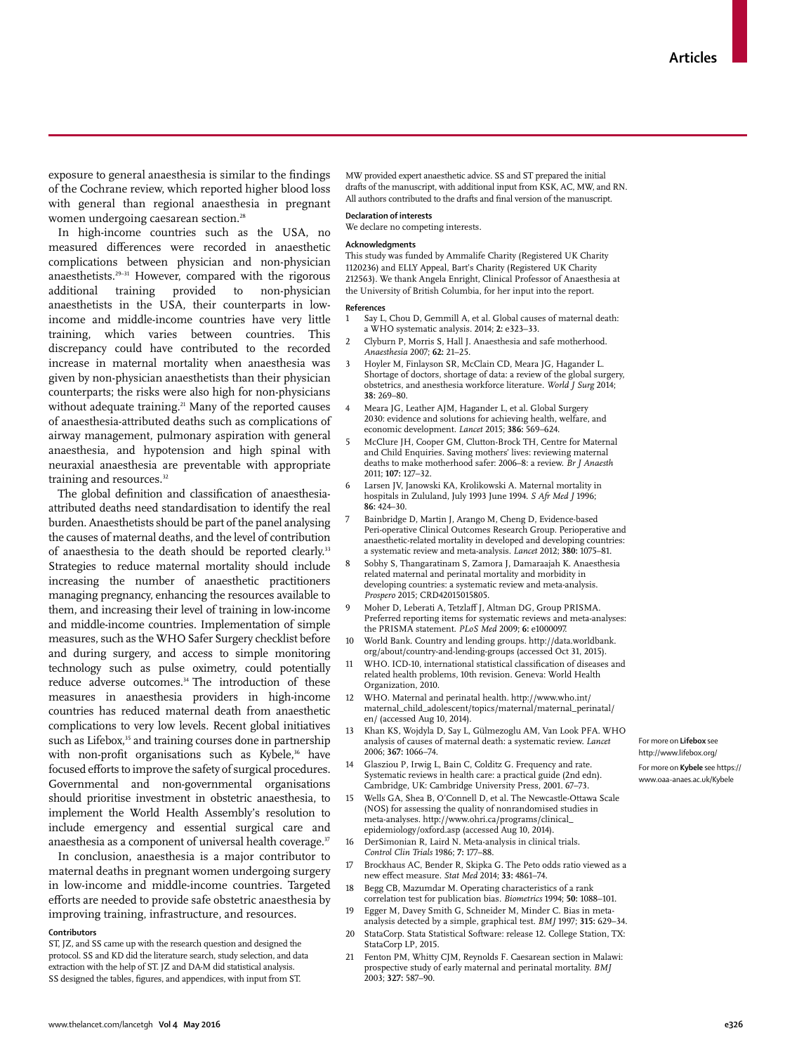exposure to general anaesthesia is similar to the findings of the Cochrane review, which reported higher blood loss with general than regional anaesthesia in pregnant women undergoing caesarean section.<sup>28</sup>

In high-income countries such as the USA, no measured differences were recorded in anaesthetic complications between physician and non-physician anaesthetists.29–31 However, compared with the rigorous additional training provided to non-physician anaesthetists in the USA, their counterparts in lowincome and middle-income countries have very little training, which varies between countries. This discrepancy could have contributed to the recorded increase in maternal mortality when anaesthesia was given by non-physician anaesthetists than their physician counterparts; the risks were also high for non-physicians without adequate training.<sup>21</sup> Many of the reported causes of anaesthesia-attributed deaths such as complications of airway management, pulmonary aspiration with general anaesthesia, and hypotension and high spinal with neuraxial anaesthesia are preventable with appropriate training and resources.<sup>32</sup>

The global definition and classification of anaesthesiaattributed deaths need standardisation to identify the real burden. Anaesthetists should be part of the panel analysing the causes of maternal deaths, and the level of contribution of anaesthesia to the death should be reported clearly.<sup>33</sup> Strategies to reduce maternal mortality should include increasing the number of anaesthetic practitioners managing pregnancy, enhancing the resources available to them, and increasing their level of training in low-income and middle-income countries. Implementation of simple measures, such as the WHO Safer Surgery checklist before and during surgery, and access to simple monitoring technology such as pulse oximetry, could potentially reduce adverse outcomes.<sup>34</sup> The introduction of these measures in anaesthesia providers in high-income countries has reduced maternal death from anaesthetic complications to very low levels. Recent global initiatives such as Lifebox,<sup>35</sup> and training courses done in partnership with non-profit organisations such as Kybele,<sup>36</sup> have focused efforts to improve the safety of surgical procedures. Governmental and non-governmental organisations should prioritise investment in obstetric anaesthesia, to implement the World Health Assembly's resolution to include emergency and essential surgical care and anaesthesia as a component of universal health coverage.<sup>37</sup>

In conclusion, anaesthesia is a major contributor to maternal deaths in pregnant women undergoing surgery in low-income and middle-income countries. Targeted efforts are needed to provide safe obstetric anaesthesia by improving training, infrastructure, and resources.

#### **Contributors**

ST, JZ, and SS came up with the research question and designed the protocol. SS and KD did the literature search, study selection, and data extraction with the help of ST. JZ and DA-M did statistical analysis. SS designed the tables, figures, and appendices, with input from ST.

MW provided expert anaesthetic advice. SS and ST prepared the initial drafts of the manuscript, with additional input from KSK, AC, MW, and RN. All authors contributed to the drafts and final version of the manuscript.

#### **Declaration of interests**

We declare no competing interests.

#### **Acknowledgments**

This study was funded by Ammalife Charity (Registered UK Charity 1120236) and ELLY Appeal, Bart's Charity (Registered UK Charity 212563). We thank Angela Enright, Clinical Professor of Anaesthesia at the University of British Columbia, for her input into the report.

### **References**

- Say L, Chou D, Gemmill A, et al. Global causes of maternal death: a WHO systematic analysis. 2014; **2:** e323–33.
- 2 Clyburn P, Morris S, Hall J. Anaesthesia and safe motherhood. *Anaesthesia* 2007; **62:** 21–25.
- 3 Hoyler M, Finlayson SR, McClain CD, Meara JG, Hagander L. Shortage of doctors, shortage of data: a review of the global surgery, obstetrics, and anesthesia workforce literature. *World J Surg* 2014; **38:** 269–80.
- Meara JG, Leather AJM, Hagander L, et al. Global Surgery 2030: evidence and solutions for achieving health, welfare, and economic development. *Lancet* 2015; **386:** 569–624.
- McClure JH, Cooper GM, Clutton-Brock TH, Centre for Maternal and Child Enquiries. Saving mothers' lives: reviewing maternal deaths to make motherhood safer: 2006–8: a review. *Br J Anaesth*  2011; **107:** 127–32.
- Larsen JV, Janowski KA, Krolikowski A. Maternal mortality in hospitals in Zululand, July 1993 June 1994. *S Afr Med J* 1996; **86:** 424–30.
- Bainbridge D, Martin J, Arango M, Cheng D, Evidence-based Peri-operative Clinical Outcomes Research Group. Perioperative and anaesthetic-related mortality in developed and developing countries: a systematic review and meta-analysis. *Lancet* 2012; **380:** 1075–81.
- 8 Sobhy S, Thangaratinam S, Zamora J, Damaraajah K. Anaesthesia related maternal and perinatal mortality and morbidity in developing countries: a systematic review and meta-analysis. *Prospero* 2015; CRD42015015805.
- 9 Moher D, Leberati A, Tetzlaff J, Altman DG, Group PRISMA. Preferred reporting items for systematic reviews and meta-analyses: the PRISMA statement. *PLoS Med* 2009; **6:** e1000097.
- 10 World Bank. Country and lending groups. http://data.worldbank. org/about/country-and-lending-groups (accessed Oct 31, 2015).
- WHO. ICD-10, international statistical classification of diseases and related health problems, 10th revision. Geneva: World Health Organization, 2010.
- 12 WHO. Maternal and perinatal health. http://www.who.int/ maternal\_child\_adolescent/topics/maternal/maternal\_perinatal/ en/ (accessed Aug 10, 2014).
- Khan KS, Wojdyla D, Say L, Gülmezoglu AM, Van Look PFA. WHO analysis of causes of maternal death: a systematic review. *Lancet* 2006; **367:** 1066–74.
- 14 Glasziou P, Irwig L, Bain C, Colditz G. Frequency and rate. Systematic reviews in health care: a practical guide (2nd edn). Cambridge, UK: Cambridge University Press, 2001. 67–73.
- Wells GA, Shea B, O'Connell D, et al. The Newcastle-Ottawa Scale (NOS) for assessing the quality of nonrandomised studies in meta-analyses. http://www.ohri.ca/programs/clinical\_ epidemiology/oxford.asp (accessed Aug 10, 2014).
- 16 DerSimonian R, Laird N. Meta-analysis in clinical trials. *Control Clin Trials* 1986; **7:** 177–88.
- Brockhaus AC, Bender R, Skipka G. The Peto odds ratio viewed as a new eff ect measure. *Stat Med* 2014; **33:** 4861–74.
- 18 Begg CB, Mazumdar M. Operating characteristics of a rank correlation test for publication bias. *Biometrics* 1994; **50:** 1088–101.
- 19 Egger M, Davey Smith G, Schneider M, Minder C. Bias in metaanalysis detected by a simple, graphical test. *BMJ* 1997; **315:** 629–34.
- StataCorp. Stata Statistical Software: release 12. College Station, TX: StataCorp LP, 2015.
- 21 Fenton PM, Whitty CJM, Reynolds F. Caesarean section in Malawi: prospective study of early maternal and perinatal mortality. *BMJ* 2003; **327:** 587–90.

For more on **Lifebox** see http://www.lifebox.org/

For more on **Kybele** see https:// www.oaa-anaes.ac.uk/Kybele